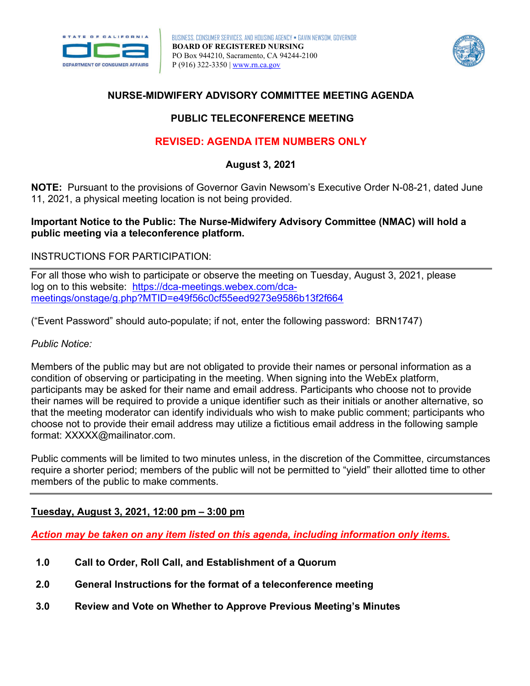



## **NURSE-MIDWIFERY ADVISORY COMMITTEE MEETING AGENDA**

## **PUBLIC TELECONFERENCE MEETING**

## **REVISED: AGENDA ITEM NUMBERS ONLY**

**August 3, 2021** 

**NOTE:** Pursuant to the provisions of Governor Gavin Newsom's Executive Order N-08-21, dated June 11, 2021, a physical meeting location is not being provided.

#### **public meeting via a teleconference platform. Important Notice to the Public: The Nurse-Midwifery Advisory Committee (NMAC) will hold a**

#### INSTRUCTIONS FOR PARTICIPATION:

 For all those who wish to participate or observe the meeting on Tuesday, August 3, 2021, please log on to this website: [https://dca-meetings.webex.com/dca](https://dca-meetings.webex.com/dca-meetings/onstage/g.php?MTID=e49f56c0cf55eed9273e9586b13f2f664)[meetings/onstage/g.php?MTID=e49f56c0cf55eed9273e9586b13f2f664](https://dca-meetings.webex.com/dca-meetings/onstage/g.php?MTID=e49f56c0cf55eed9273e9586b13f2f664) 

("Event Password" should auto-populate; if not, enter the following password: BRN1747)

#### *Public Notice:*

Members of the public may but are not obligated to provide their names or personal information as a condition of observing or participating in the meeting. When signing into the WebEx platform, participants may be asked for their name and email address. Participants who choose not to provide their names will be required to provide a unique identifier such as their initials or another alternative, so that the meeting moderator can identify individuals who wish to make public comment; participants who choose not to provide their email address may utilize a fictitious email address in the following sample format: [XXXXX@mailinator.com.](mailto:XXXXX@mailinator.com)

Public comments will be limited to two minutes unless, in the discretion of the Committee, circumstances require a shorter period; members of the public will not be permitted to "yield" their allotted time to other members of the public to make comments.

### **Tuesday, August 3, 2021, 12:00 pm – 3:00 pm**

*Action may be taken on any item listed on this agenda, including information only items.* 

- **Call to Order, Roll Call, and Establishment of a Quorum**
- **1.0 Call to Order, Roll Call, and Establishment of a Quorum 2.0 General Instructions for the format of a teleconference meeting**
- **3.0 Review and Vote on Whether to Approve Previous Meeting's Minutes**